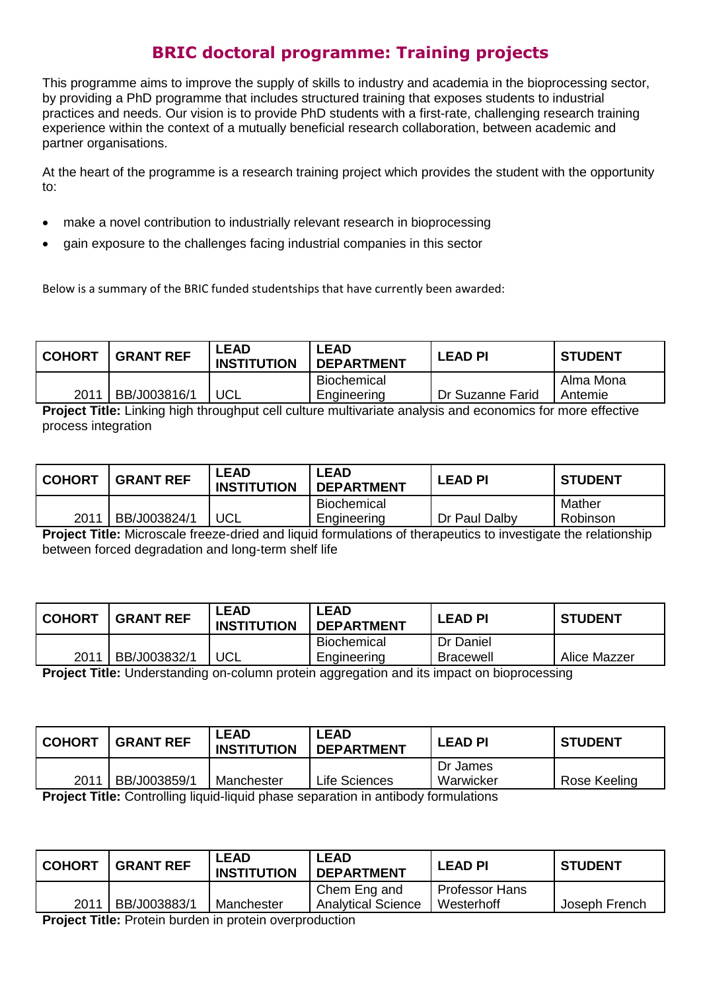## **BRIC doctoral programme: Training projects**

This programme aims to improve the supply of skills to industry and academia in the bioprocessing sector, by providing a PhD programme that includes structured training that exposes students to industrial practices and needs. Our vision is to provide PhD students with a first-rate, challenging research training experience within the context of a mutually beneficial research collaboration, between academic and partner organisations.

At the heart of the programme is a research training project which provides the student with the opportunity to:

- make a novel contribution to industrially relevant research in bioprocessing
- gain exposure to the challenges facing industrial companies in this sector

Below is a summary of the BRIC funded studentships that have currently been awarded:

| <b>COHORT</b> | <b>GRANT REF</b> | <b>LEAD</b><br><b>INSTITUTION</b> | <b>LEAD</b><br><b>DEPARTMENT</b> | <b>LEAD PI</b>   | <b>STUDENT</b> |
|---------------|------------------|-----------------------------------|----------------------------------|------------------|----------------|
|               |                  |                                   | Biochemical                      |                  | Alma Mona      |
| 2011          | BB/J003816/1     | UCL                               | Engineering                      | Dr Suzanne Farid | Antemie        |

**Project Title:** Linking high throughput cell culture multivariate analysis and economics for more effective process integration

| <b>COHORT</b> | <b>GRANT REF</b> | ∟EAD<br><b>INSTITUTION</b> | LEAD<br><b>DEPARTMENT</b> | <b>LEAD PI</b> | <b>STUDENT</b> |
|---------------|------------------|----------------------------|---------------------------|----------------|----------------|
|               |                  |                            | <b>Biochemical</b>        |                | Mather         |
| 2011          | BB/J003824/1     | UCL                        | Engineering               | Dr Paul Dalby  | Robinson       |

**Project Title:** Microscale freeze-dried and liquid formulations of therapeutics to investigate the relationship between forced degradation and long-term shelf life

| <b>COHORT</b> | <b>GRANT REF</b> | <b>_EAD</b><br><b>INSTITUTION</b> | LEAD<br><b>DEPARTMENT</b> | <b>LEAD PI</b>   | <b>STUDENT</b> |
|---------------|------------------|-----------------------------------|---------------------------|------------------|----------------|
|               |                  |                                   | <b>Biochemical</b>        | Dr Daniel        |                |
| 2011          | BB/J003832/1     | UCL                               | Engineering               | <b>Bracewell</b> | Alice Mazzer   |
| ____          |                  |                                   |                           |                  |                |

**Project Title:** Understanding on-column protein aggregation and its impact on bioprocessing

| <b>COHORT</b> | <b>GRANT REF</b>                                                                              | _EAD<br><b>INSTITUTION</b> | <b>LEAD</b><br><b>DEPARTMENT</b> | <b>LEAD PI</b> | <b>STUDENT</b> |  |  |  |
|---------------|-----------------------------------------------------------------------------------------------|----------------------------|----------------------------------|----------------|----------------|--|--|--|
|               |                                                                                               |                            |                                  | Dr James       |                |  |  |  |
| 2011          | BB/J003859/1                                                                                  | Manchester                 | Life Sciences                    | Warwicker      | Rose Keeling   |  |  |  |
|               | Dua la at Title : Ocutuallia a lianial lianial ubacce concention in cutile salu fousantations |                            |                                  |                |                |  |  |  |

**Project Title:** Controlling liquid-liquid phase separation in antibody formulations

| <b>COHORT</b> | <b>GRANT REF</b> | LEAD<br><b>INSTITUTION</b> | <b>LEAD</b><br><b>DEPARTMENT</b>          | ' LEAD PI                    | <b>STUDENT</b> |
|---------------|------------------|----------------------------|-------------------------------------------|------------------------------|----------------|
| 2011          | BB/J003883/1     | Manchester                 | Chem Eng and<br><b>Analytical Science</b> | Professor Hans<br>Westerhoff | Joseph French  |
|               |                  |                            |                                           |                              |                |

**Project Title:** Protein burden in protein overproduction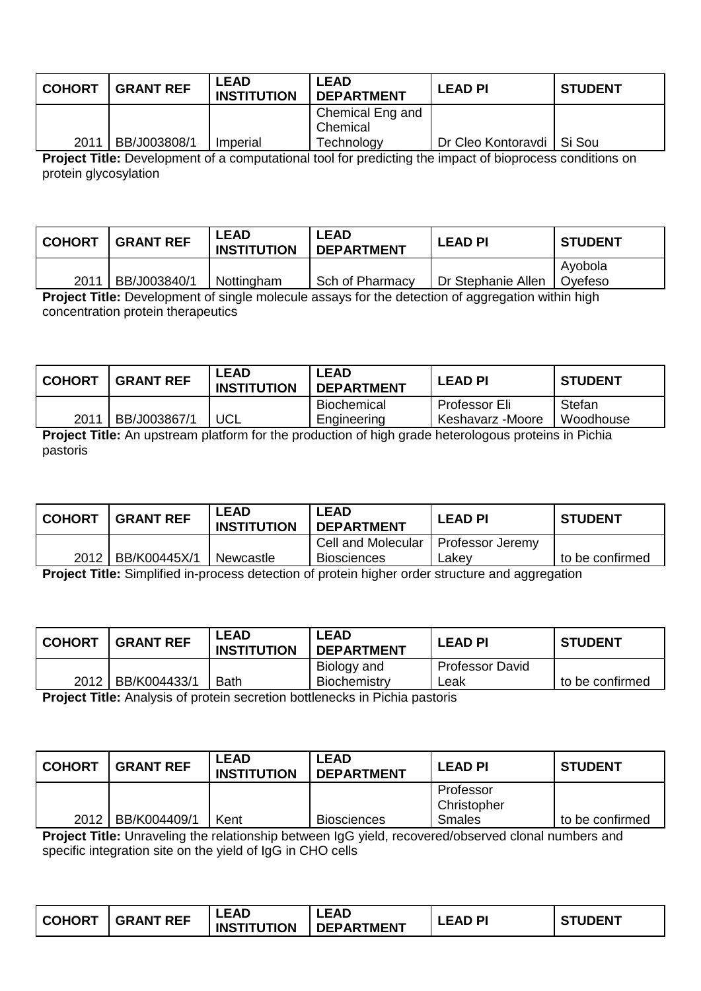| <b>COHORT</b> | <b>GRANT REF</b> | ∟EAD<br><b>INSTITUTION</b> | <b>LEAD</b><br><b>DEPARTMENT</b> | <b>LEAD PI</b>              | <b>STUDENT</b> |
|---------------|------------------|----------------------------|----------------------------------|-----------------------------|----------------|
|               |                  |                            | Chemical Eng and<br>Chemical     |                             |                |
| 2011          | BB/J003808/1     | Imperial                   | Technology                       | Dr Cleo Kontoravdi   Si Sou |                |

**Project Title:** Development of a computational tool for predicting the impact of bioprocess conditions on protein glycosylation

| <b>COHORT</b> | <b>GRANT REF</b> | ∟EAD<br><b>INSTITUTION</b> | <b>LEAD</b><br><b>DEPARTMENT</b> | <b>LEAD PI</b>     | <b>STUDENT</b>     |
|---------------|------------------|----------------------------|----------------------------------|--------------------|--------------------|
| 2011          | BB/J003840/1     | Nottingham                 | Sch of Pharmacy                  | Dr Stephanie Allen | Ayobola<br>Ovefeso |

**Project Title:** Development of single molecule assays for the detection of aggregation within high concentration protein therapeutics

| <b>COHORT</b> | <b>GRANT REF</b> | ∟EAD<br><b>INSTITUTION</b> | <b>LEAD</b><br><b>DEPARTMENT</b> | <b>LEAD PI</b>   | <b>STUDENT</b> |
|---------------|------------------|----------------------------|----------------------------------|------------------|----------------|
|               |                  |                            | Biochemical                      | Professor Eli    | Stefan         |
| 2011          | BB/J003867/1     | UCL                        | Engineering                      | Keshavarz -Moore | Woodhouse      |

**Project Title:** An upstream platform for the production of high grade heterologous proteins in Pichia pastoris

| <b>COHORT</b> | <b>GRANT REF</b> | LEAD<br><b>INSTITUTION</b> | <b>LEAD</b><br><b>DEPARTMENT</b> | <b>LEAD PI</b>   | <b>STUDENT</b>  |
|---------------|------------------|----------------------------|----------------------------------|------------------|-----------------|
|               |                  |                            | Cell and Molecular               | Professor Jeremy |                 |
| 2012          | BB/K00445X/1     | Newcastle                  | <b>Biosciences</b>               | Lakev            | to be confirmed |

**Project Title:** Simplified in-process detection of protein higher order structure and aggregation

| <b>COHORT</b><br><b>GRANT REF</b> | LEAD<br><b>INSTITUTION</b> | <b>LEAD</b><br><b>DEPARTMENT</b> | <b>LEAD PI</b>         | <b>STUDENT</b>  |
|-----------------------------------|----------------------------|----------------------------------|------------------------|-----------------|
|                                   |                            | Biology and                      | <b>Professor David</b> |                 |
| BB/K004433/1<br>2012              | <b>Bath</b>                | Biochemistry                     | Leak                   | to be confirmed |

**Project Title:** Analysis of protein secretion bottlenecks in Pichia pastoris

| l COHORT                        | <b>GRANT REF</b> | ∟EAD<br><b>INSTITUTION</b> | <b>LEAD</b><br><b>DEPARTMENT</b> | <b>LEAD PI</b>           | <b>STUDENT</b>  |
|---------------------------------|------------------|----------------------------|----------------------------------|--------------------------|-----------------|
|                                 |                  |                            |                                  | Professor<br>Christopher |                 |
| 2012                            | BB/K004409/1     | Kent                       | <b>Biosciences</b>               | Smales                   | to be confirmed |
| ---<br>$\overline{\phantom{0}}$ |                  | .                          | .                                | .                        |                 |

**Project Title:** Unraveling the relationship between IgG yield, recovered/observed clonal numbers and specific integration site on the yield of IgG in CHO cells

| <b>COHORT</b> | <b>GRANT REF</b> | <b>LEAD</b><br><b>INSTITUTION</b> | <b>LEAD</b><br><b>DEPARTMENT</b> | P<br>LEAD | <b>STUDENT</b> |
|---------------|------------------|-----------------------------------|----------------------------------|-----------|----------------|
|               |                  |                                   |                                  |           |                |